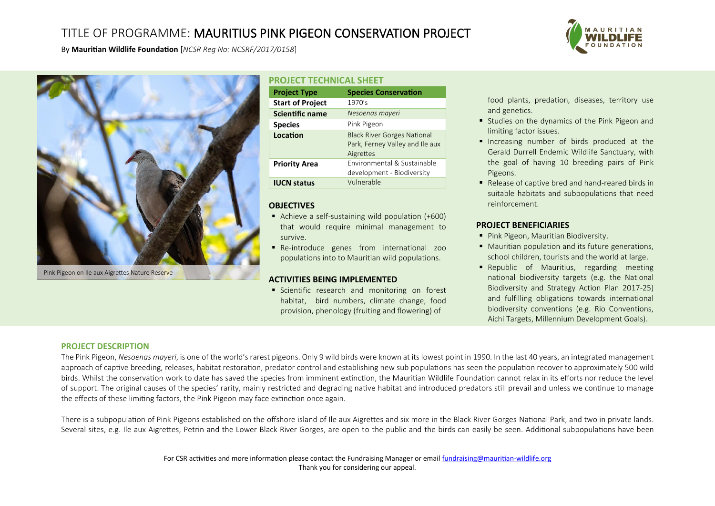## TITLE OF PROGRAMME: MAURITIUS PINK PIGEON CONSERVATION PROJECT



By **Mauritian Wildlife Foundation** [*NCSR Reg No: NCSRF/2017/0158*]



Pink Pigeon on Ile aux Aigrettes Nature Reserve

#### **PROJECT TECHNICAL SHEET Project Type Species Conservation Start of Project** | 1970's **Scientific name** *Nesoenas mayeri* **Species** Pink Pigeon **Location** Black River Gorges National Park, Ferney Valley and Ile aux Aigrettes **Priority Area Environmental & Sustainable** development - Biodiversity **IUCN status Vulnerable**

## **OBJECTIVES**

- Achieve a self-sustaining wild population (+600) that would require minimal management to survive.
- Re-introduce genes from international zoo populations into to Mauritian wild populations.

#### **ACTIVITIES BEING IMPLEMENTED**

**Executifically** Scientific research and monitoring on forest habitat, bird numbers, climate change, food provision, phenology (fruiting and flowering) of

food plants, predation, diseases, territory use and genetics.

- Studies on the dynamics of the Pink Pigeon and limiting factor issues.
- **·** Increasing number of birds produced at the Gerald Durrell Endemic Wildlife Sanctuary, with the goal of having 10 breeding pairs of Pink Pigeons.
- Release of captive bred and hand-reared birds in suitable habitats and subpopulations that need reinforcement.

### **PROJECT BENEFICIARIES**

- Pink Pigeon, Mauritian Biodiversity.
- Mauritian population and its future generations, school children, tourists and the world at large.
- Republic of Mauritius, regarding meeting national biodiversity targets (e.g. the National Biodiversity and Strategy Action Plan 2017-25) and fulfilling obligations towards international biodiversity conventions (e.g. Rio Conventions, Aichi Targets, Millennium Development Goals).

#### **PROJECT DESCRIPTION**

The Pink Pigeon, *Nesoenas mayeri*, is one of the world's rarest pigeons. Only 9 wild birds were known at its lowest point in 1990. In the last 40 years, an integrated management approach of captive breeding, releases, habitat restoration, predator control and establishing new sub populations has seen the population recover to approximately 500 wild birds. Whilst the conservation work to date has saved the species from imminent extinction, the Mauritian Wildlife Foundation cannot relax in its efforts nor reduce the level of support. The original causes of the species' rarity, mainly restricted and degrading native habitat and introduced predators still prevail and unless we continue to manage the effects of these limiting factors, the Pink Pigeon may face extinction once again.

There is a subpopulation of Pink Pigeons established on the offshore island of Ile aux Aigrettes and six more in the Black River Gorges National Park, and two in private lands. Several sites, e.g. Ile aux Aigrettes, Petrin and the Lower Black River Gorges, are open to the public and the birds can easily be seen. Additional subpopulations have been

> For CSR activities and more information please contact the Fundraising Manager or emai[l fundraising@mauritian-wildlife.org](mailto:fundraising@mauritian-wildlife.org) Thank you for considering our appeal.